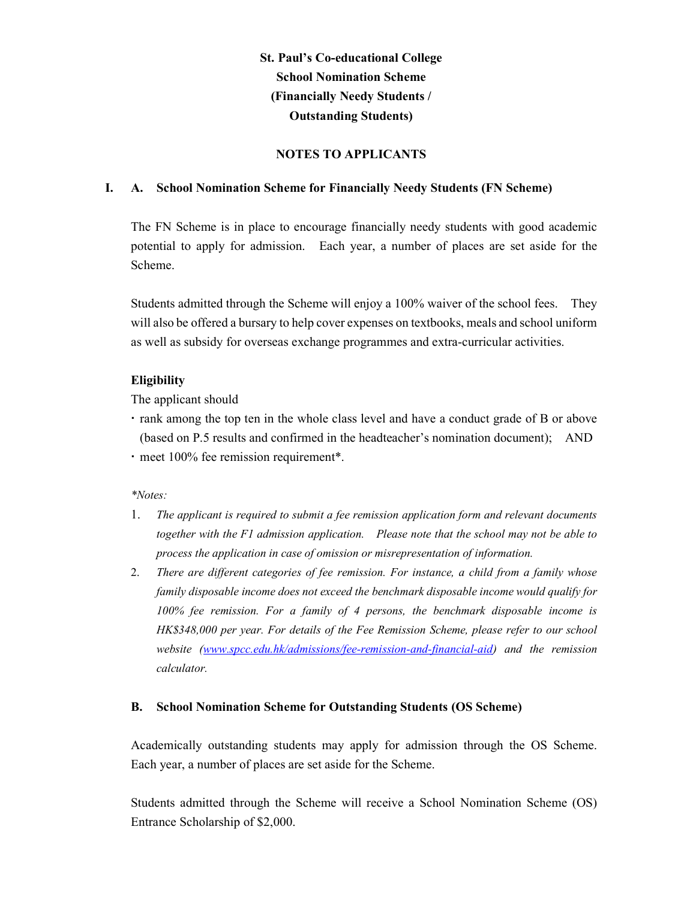# St. Paul's Co-educational College School Nomination Scheme (Financially Needy Students / Outstanding Students)

## NOTES TO APPLICANTS

### I. A. School Nomination Scheme for Financially Needy Students (FN Scheme)

The FN Scheme is in place to encourage financially needy students with good academic potential to apply for admission. Each year, a number of places are set aside for the Scheme.

Students admitted through the Scheme will enjoy a 100% waiver of the school fees. They will also be offered a bursary to help cover expenses on textbooks, meals and school uniform as well as subsidy for overseas exchange programmes and extra-curricular activities.

## Eligibility

The applicant should

- rank among the top ten in the whole class level and have a conduct grade of B or above (based on P.5 results and confirmed in the headteacher's nomination document); AND
- meet 100% fee remission requirement\*.

### \*Notes:

- 1. The applicant is required to submit a fee remission application form and relevant documents together with the F1 admission application. Please note that the school may not be able to process the application in case of omission or misrepresentation of information.
- 2. There are different categories of fee remission. For instance, a child from a family whose family disposable income does not exceed the benchmark disposable income would qualify for 100% fee remission. For a family of 4 persons, the benchmark disposable income is HK\$348,000 per year. For details of the Fee Remission Scheme, please refer to our school website (www.spcc.edu.hk/admissions/fee-remission-and-financial-aid) and the remission calculator.

### B. School Nomination Scheme for Outstanding Students (OS Scheme)

Academically outstanding students may apply for admission through the OS Scheme. Each year, a number of places are set aside for the Scheme.

Students admitted through the Scheme will receive a School Nomination Scheme (OS) Entrance Scholarship of \$2,000.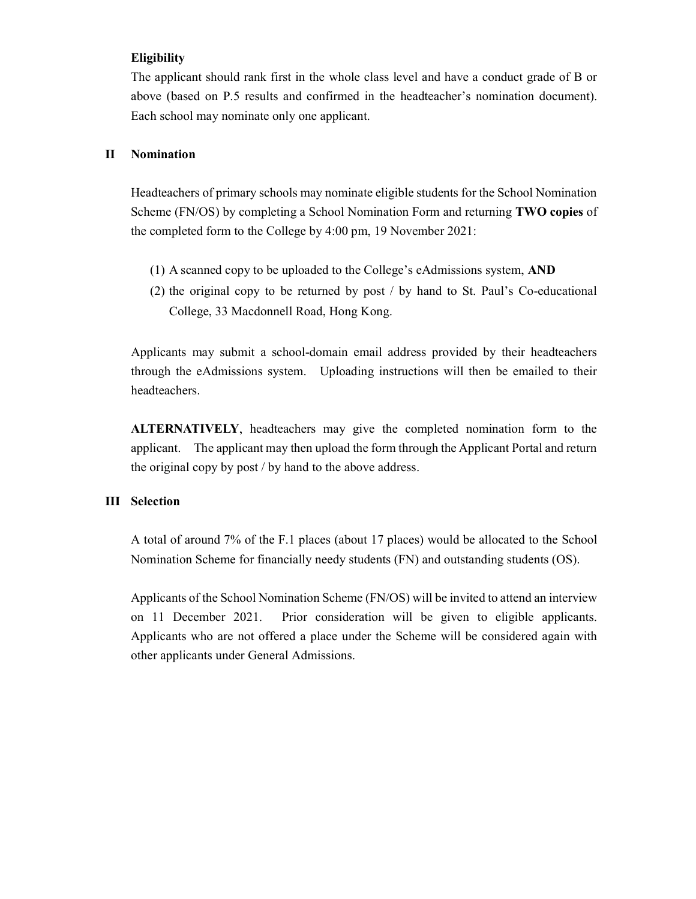### Eligibility

The applicant should rank first in the whole class level and have a conduct grade of B or above (based on P.5 results and confirmed in the headteacher's nomination document). Each school may nominate only one applicant.

### II Nomination

Headteachers of primary schools may nominate eligible students for the School Nomination Scheme (FN/OS) by completing a School Nomination Form and returning TWO copies of the completed form to the College by 4:00 pm, 19 November 2021:

- (1) A scanned copy to be uploaded to the College's eAdmissions system, AND
- (2) the original copy to be returned by post / by hand to St. Paul's Co-educational College, 33 Macdonnell Road, Hong Kong.

Applicants may submit a school-domain email address provided by their headteachers through the eAdmissions system. Uploading instructions will then be emailed to their headteachers.

ALTERNATIVELY, headteachers may give the completed nomination form to the applicant. The applicant may then upload the form through the Applicant Portal and return the original copy by post / by hand to the above address.

### III Selection

A total of around 7% of the F.1 places (about 17 places) would be allocated to the School Nomination Scheme for financially needy students (FN) and outstanding students (OS).

Applicants of the School Nomination Scheme (FN/OS) will be invited to attend an interview on 11 December 2021. Prior consideration will be given to eligible applicants. Applicants who are not offered a place under the Scheme will be considered again with other applicants under General Admissions.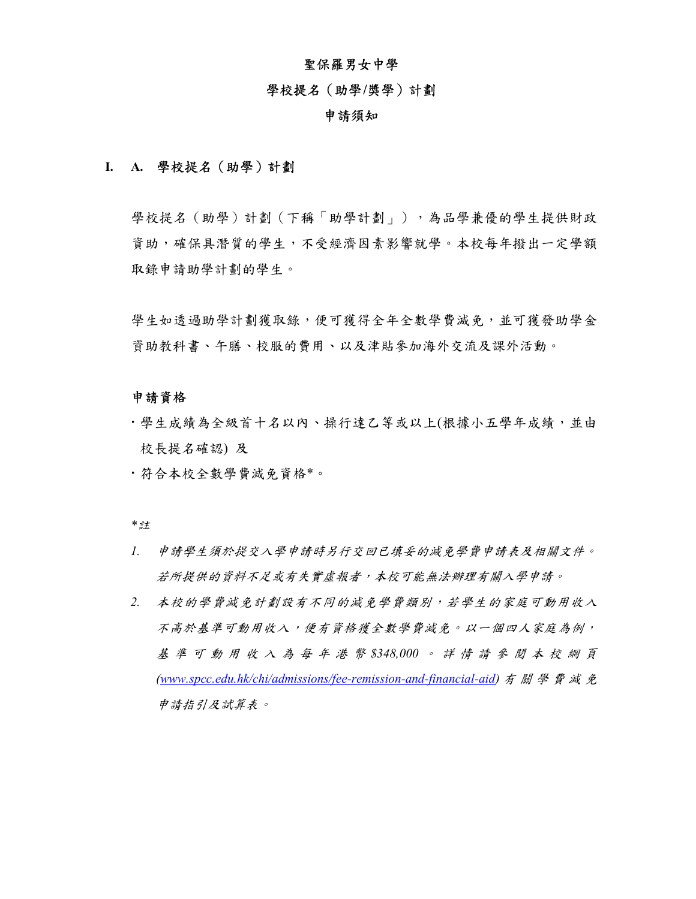### 聖保羅男女中學

#### 學校提名(助學/獎學)計劃

#### 申請須知

### I. A. 學校提名(助學)計劃

學校提名(助學)計劃(下稱「助學計劃」),為品學兼優的學生提供財政 資助,確保具潛質的學生,不受經濟因素影響就學。本校每年撥出一定學額 取錄申請助學計劃的學生。

學生如透過助學計劃獲取錄,便可獲得全年全數學費減免,並可獲發助學舍 資助教科書、午膳、校服的費用、以及津貼參加海外交流及課外活動。

#### 申請資格

- 學生成績為全級首十名以內、操行達乙等或以上(根據小五學年成績,並由 校長提名確認) 及
- 符合本校全數學費減免資格\*。

\*<sup>註</sup>

- 1. 申請學生須於提交入學申請時另行交回已填妥的減免學費申請表及相關文件。 若所提供的資料不足或有失實虛報者,本校可能無法辦理有關入學申請。
- 2. 本校的學費減免計劃設有不同的減免學費類別,若學生的家庭可動用收入 不高於基準可動用收入,便有資格獲全數學費減免。以一個四人家庭為例, <sup>基</sup> <sup>準</sup> <sup>可</sup> <sup>動</sup> <sup>用</sup> <sup>收</sup> <sup>入</sup> <sup>為</sup> 每 <sup>年</sup> <sup>港</sup> <sup>幣</sup> \$348,000 。 <sup>詳</sup> <sup>情</sup> <sup>請</sup> <sup>參</sup> <sup>閱</sup> <sup>本</sup> <sup>校</sup> <sup>網</sup> <sup>頁</sup> (www.spcc.edu.hk/chi/admissions/fee-remission-and-financial-aid) <sup>有</sup> <sup>關</sup> <sup>學</sup> <sup>費</sup> <sup>減</sup> <sup>免</sup> 申請指引及試算表。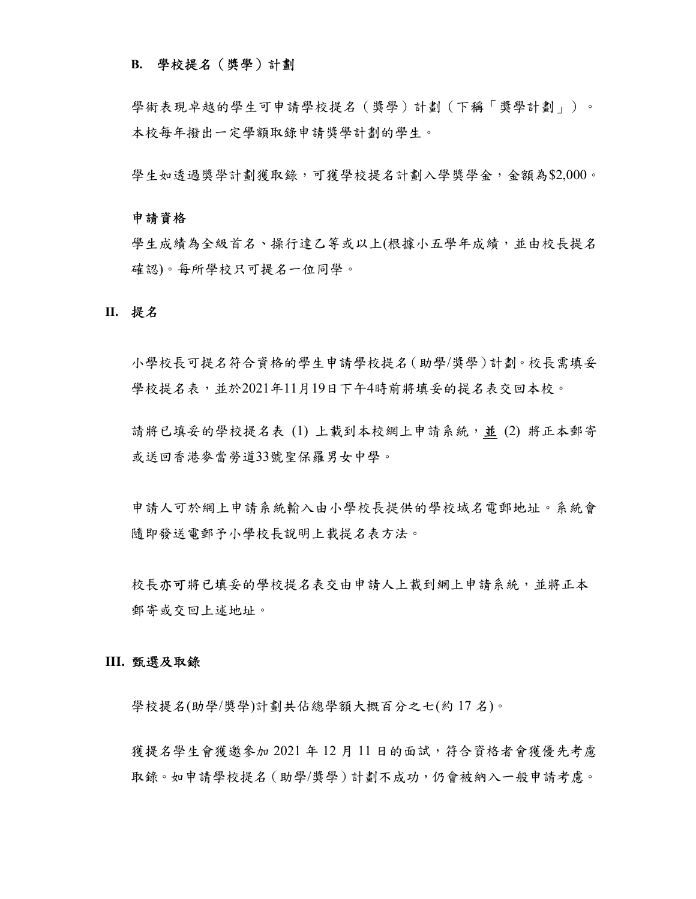### B. 學校提名(獎學)計劃

學術表現卓越的學生可申請學校提名(獎學)計劃(下稱「獎學計劃」)。 本校每年撥出一定學額取錄申請獎學計劃的學生。

學生如透過獎學計劃獲取錄,可獲學校提名計劃入學獎學金,金額為\$2,000。

#### 申請資格

學生成績為全級首名、操行達乙等或以上(根據小五學年成績,並由校長提名 確認)。每所學校只可提名一位同學。

#### II. 提名

小學校長可提名符合資格的學生申請學校提名(助學/獎學)計劃。校長需填妥 學校提名表,並於2021年11月19日下午4時前將填妥的提名表交回本校。

請將已填妥的學校提名表 (1) 上載到本校網上申請系統,並 (2) 將正本郵寄 或送回香港麥當勞道33號聖保羅男女中學。

申請人可於網上申請系統輸入由小學校長提供的學校域名電郵地址。系統會 隨即發送電郵予小學校長說明上載提名表方法。

校長亦可將已填妥的學校提名表交由申請人上載到網上申請系統,並將正本 郵寄或交回上述地址。

#### III. 甄選及取錄

學校提名(助學/獎學)計劃共佔總學額大概百分之七(約 17 名)。

獲提名學生會獲邀參加 2021 年 12 月 11 日的面試,符合資格者會獲優先考慮 取錄。如申請學校提名(助學/獎學)計劃不成功,仍會被納入一般申請考慮。